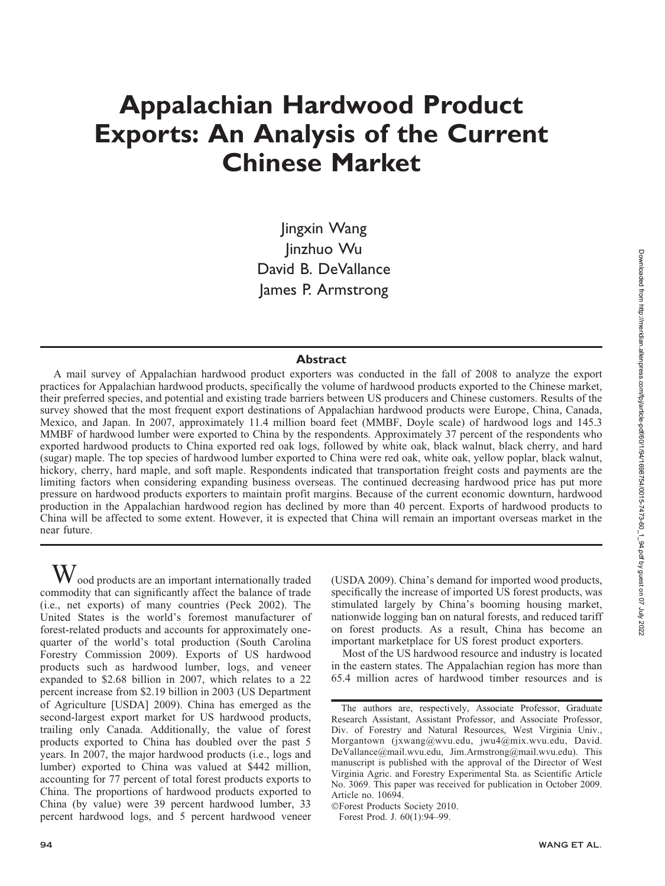# Appalachian Hardwood Product Exports: An Analysis of the Current Chinese Market

Jingxin Wang Jinzhuo Wu David B. DeVallance James P. Armstrong

#### Abstract

A mail survey of Appalachian hardwood product exporters was conducted in the fall of 2008 to analyze the export practices for Appalachian hardwood products, specifically the volume of hardwood products exported to the Chinese market, their preferred species, and potential and existing trade barriers between US producers and Chinese customers. Results of the survey showed that the most frequent export destinations of Appalachian hardwood products were Europe, China, Canada, Mexico, and Japan. In 2007, approximately 11.4 million board feet (MMBF, Doyle scale) of hardwood logs and 145.3 MMBF of hardwood lumber were exported to China by the respondents. Approximately 37 percent of the respondents who exported hardwood products to China exported red oak logs, followed by white oak, black walnut, black cherry, and hard (sugar) maple. The top species of hardwood lumber exported to China were red oak, white oak, yellow poplar, black walnut, hickory, cherry, hard maple, and soft maple. Respondents indicated that transportation freight costs and payments are the limiting factors when considering expanding business overseas. The continued decreasing hardwood price has put more pressure on hardwood products exporters to maintain profit margins. Because of the current economic downturn, hardwood production in the Appalachian hardwood region has declined by more than 40 percent. Exports of hardwood products to China will be affected to some extent. However, it is expected that China will remain an important overseas market in the near future.

 $\rm W$  ood products are an important internationally traded commodity that can significantly affect the balance of trade (i.e., net exports) of many countries (Peck 2002). The United States is the world's foremost manufacturer of forest-related products and accounts for approximately onequarter of the world's total production (South Carolina Forestry Commission 2009). Exports of US hardwood products such as hardwood lumber, logs, and veneer expanded to \$2.68 billion in 2007, which relates to a 22 percent increase from \$2.19 billion in 2003 (US Department of Agriculture [USDA] 2009). China has emerged as the second-largest export market for US hardwood products, trailing only Canada. Additionally, the value of forest products exported to China has doubled over the past 5 years. In 2007, the major hardwood products (i.e., logs and lumber) exported to China was valued at \$442 million, accounting for 77 percent of total forest products exports to China. The proportions of hardwood products exported to China (by value) were 39 percent hardwood lumber, 33 percent hardwood logs, and 5 percent hardwood veneer

(USDA 2009). China's demand for imported wood products, specifically the increase of imported US forest products, was stimulated largely by China's booming housing market, nationwide logging ban on natural forests, and reduced tariff on forest products. As a result, China has become an important marketplace for US forest product exporters.

Most of the US hardwood resource and industry is located in the eastern states. The Appalachian region has more than 65.4 million acres of hardwood timber resources and is

-Forest Products Society 2010.

Forest Prod. J. 60(1):94–99.

The authors are, respectively, Associate Professor, Graduate Research Assistant, Assistant Professor, and Associate Professor, Div. of Forestry and Natural Resources, West Virginia Univ., Morgantown (jxwang@wvu.edu, jwu4@mix.wvu.edu, David. DeVallance@mail.wvu.edu, Jim.Armstrong@mail.wvu.edu). This manuscript is published with the approval of the Director of West Virginia Agric. and Forestry Experimental Sta. as Scientific Article No. 3069. This paper was received for publication in October 2009. Article no. 10694.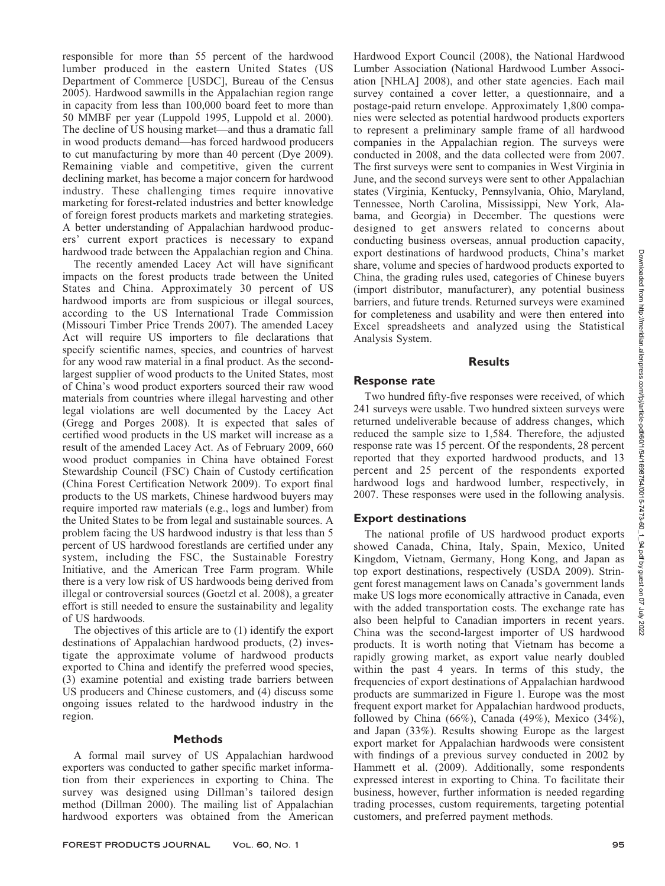responsible for more than 55 percent of the hardwood lumber produced in the eastern United States (US Department of Commerce [USDC], Bureau of the Census 2005). Hardwood sawmills in the Appalachian region range in capacity from less than 100,000 board feet to more than 50 MMBF per year (Luppold 1995, Luppold et al. 2000). The decline of US housing market—and thus a dramatic fall in wood products demand—has forced hardwood producers to cut manufacturing by more than 40 percent (Dye 2009). Remaining viable and competitive, given the current declining market, has become a major concern for hardwood industry. These challenging times require innovative marketing for forest-related industries and better knowledge of foreign forest products markets and marketing strategies. A better understanding of Appalachian hardwood producers' current export practices is necessary to expand hardwood trade between the Appalachian region and China.

The recently amended Lacey Act will have significant impacts on the forest products trade between the United States and China. Approximately 30 percent of US hardwood imports are from suspicious or illegal sources, according to the US International Trade Commission (Missouri Timber Price Trends 2007). The amended Lacey Act will require US importers to file declarations that specify scientific names, species, and countries of harvest for any wood raw material in a final product. As the secondlargest supplier of wood products to the United States, most of China's wood product exporters sourced their raw wood materials from countries where illegal harvesting and other legal violations are well documented by the Lacey Act (Gregg and Porges 2008). It is expected that sales of certified wood products in the US market will increase as a result of the amended Lacey Act. As of February 2009, 660 wood product companies in China have obtained Forest Stewardship Council (FSC) Chain of Custody certification (China Forest Certification Network 2009). To export final products to the US markets, Chinese hardwood buyers may require imported raw materials (e.g., logs and lumber) from the United States to be from legal and sustainable sources. A problem facing the US hardwood industry is that less than 5 percent of US hardwood forestlands are certified under any system, including the FSC, the Sustainable Forestry Initiative, and the American Tree Farm program. While there is a very low risk of US hardwoods being derived from illegal or controversial sources (Goetzl et al. 2008), a greater effort is still needed to ensure the sustainability and legality of US hardwoods.

The objectives of this article are to (1) identify the export destinations of Appalachian hardwood products, (2) investigate the approximate volume of hardwood products exported to China and identify the preferred wood species, (3) examine potential and existing trade barriers between US producers and Chinese customers, and (4) discuss some ongoing issues related to the hardwood industry in the region.

## **Methods**

A formal mail survey of US Appalachian hardwood exporters was conducted to gather specific market information from their experiences in exporting to China. The survey was designed using Dillman's tailored design method (Dillman 2000). The mailing list of Appalachian hardwood exporters was obtained from the American

FOREST PRODUCTS JOURNAL VOL. 60, No. 1 95

Hardwood Export Council (2008), the National Hardwood Lumber Association (National Hardwood Lumber Association [NHLA] 2008), and other state agencies. Each mail survey contained a cover letter, a questionnaire, and a postage-paid return envelope. Approximately 1,800 companies were selected as potential hardwood products exporters to represent a preliminary sample frame of all hardwood companies in the Appalachian region. The surveys were conducted in 2008, and the data collected were from 2007. The first surveys were sent to companies in West Virginia in June, and the second surveys were sent to other Appalachian states (Virginia, Kentucky, Pennsylvania, Ohio, Maryland, Tennessee, North Carolina, Mississippi, New York, Alabama, and Georgia) in December. The questions were designed to get answers related to concerns about conducting business overseas, annual production capacity, export destinations of hardwood products, China's market share, volume and species of hardwood products exported to China, the grading rules used, categories of Chinese buyers (import distributor, manufacturer), any potential business barriers, and future trends. Returned surveys were examined for completeness and usability and were then entered into Excel spreadsheets and analyzed using the Statistical Analysis System.

# **Results**

# Response rate

Two hundred fifty-five responses were received, of which 241 surveys were usable. Two hundred sixteen surveys were returned undeliverable because of address changes, which reduced the sample size to 1,584. Therefore, the adjusted response rate was 15 percent. Of the respondents, 28 percent reported that they exported hardwood products, and 13 percent and 25 percent of the respondents exported hardwood logs and hardwood lumber, respectively, in 2007. These responses were used in the following analysis.

# Export destinations

The national profile of US hardwood product exports showed Canada, China, Italy, Spain, Mexico, United Kingdom, Vietnam, Germany, Hong Kong, and Japan as top export destinations, respectively (USDA 2009). Stringent forest management laws on Canada's government lands make US logs more economically attractive in Canada, even with the added transportation costs. The exchange rate has also been helpful to Canadian importers in recent years. China was the second-largest importer of US hardwood products. It is worth noting that Vietnam has become a rapidly growing market, as export value nearly doubled within the past 4 years. In terms of this study, the frequencies of export destinations of Appalachian hardwood products are summarized in Figure 1. Europe was the most frequent export market for Appalachian hardwood products, followed by China (66%), Canada (49%), Mexico (34%), and Japan (33%). Results showing Europe as the largest export market for Appalachian hardwoods were consistent with findings of a previous survey conducted in 2002 by Hammett et al. (2009). Additionally, some respondents expressed interest in exporting to China. To facilitate their business, however, further information is needed regarding trading processes, custom requirements, targeting potential customers, and preferred payment methods.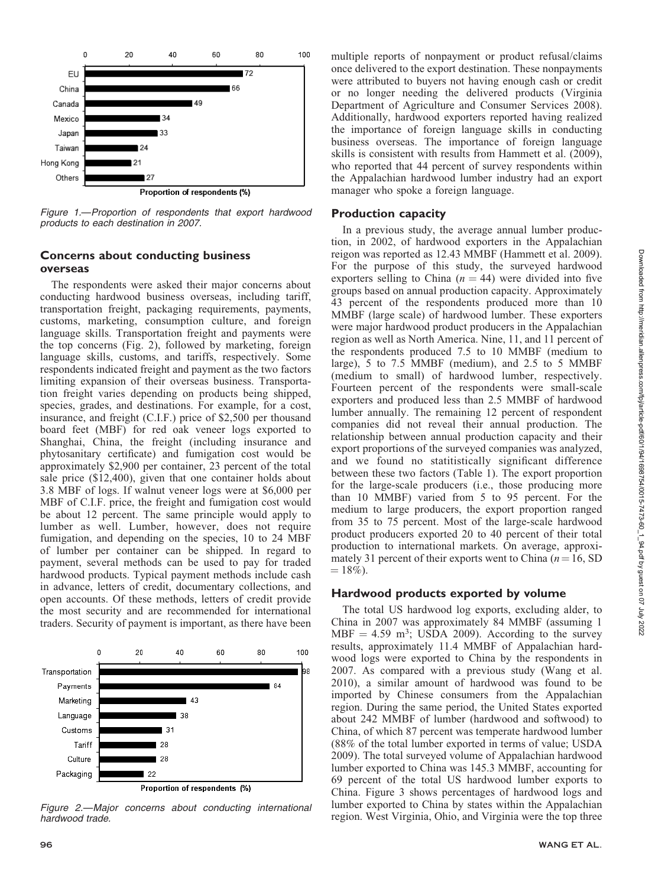

Figure 1.—Proportion of respondents that export hardwood products to each destination in 2007.

# Concerns about conducting business overseas

The respondents were asked their major concerns about conducting hardwood business overseas, including tariff, transportation freight, packaging requirements, payments, customs, marketing, consumption culture, and foreign language skills. Transportation freight and payments were the top concerns (Fig. 2), followed by marketing, foreign language skills, customs, and tariffs, respectively. Some respondents indicated freight and payment as the two factors limiting expansion of their overseas business. Transportation freight varies depending on products being shipped, species, grades, and destinations. For example, for a cost, insurance, and freight (C.I.F.) price of \$2,500 per thousand board feet (MBF) for red oak veneer logs exported to Shanghai, China, the freight (including insurance and phytosanitary certificate) and fumigation cost would be approximately \$2,900 per container, 23 percent of the total sale price (\$12,400), given that one container holds about 3.8 MBF of logs. If walnut veneer logs were at \$6,000 per MBF of C.I.F. price, the freight and fumigation cost would be about 12 percent. The same principle would apply to lumber as well. Lumber, however, does not require fumigation, and depending on the species, 10 to 24 MBF of lumber per container can be shipped. In regard to payment, several methods can be used to pay for traded hardwood products. Typical payment methods include cash in advance, letters of credit, documentary collections, and open accounts. Of these methods, letters of credit provide the most security and are recommended for international traders. Security of payment is important, as there have been



Figure 2.—Major concerns about conducting international lumber exported to China by states within the Appalachian<br>hardwood trade. egion. West Virginia, Ohio, and Virginia were the top three hardwood trade.

multiple reports of nonpayment or product refusal/claims once delivered to the export destination. These nonpayments were attributed to buyers not having enough cash or credit or no longer needing the delivered products (Virginia Department of Agriculture and Consumer Services 2008). Additionally, hardwood exporters reported having realized the importance of foreign language skills in conducting business overseas. The importance of foreign language skills is consistent with results from Hammett et al. (2009), who reported that 44 percent of survey respondents within the Appalachian hardwood lumber industry had an export manager who spoke a foreign language.

### Production capacity

In a previous study, the average annual lumber production, in 2002, of hardwood exporters in the Appalachian reigon was reported as 12.43 MMBF (Hammett et al. 2009). For the purpose of this study, the surveyed hardwood exporters selling to China ( $n = 44$ ) were divided into five groups based on annual production capacity. Approximately 43 percent of the respondents produced more than 10 MMBF (large scale) of hardwood lumber. These exporters were major hardwood product producers in the Appalachian region as well as North America. Nine, 11, and 11 percent of the respondents produced 7.5 to 10 MMBF (medium to large), 5 to 7.5 MMBF (medium), and 2.5 to 5 MMBF (medium to small) of hardwood lumber, respectively. Fourteen percent of the respondents were small-scale exporters and produced less than 2.5 MMBF of hardwood lumber annually. The remaining 12 percent of respondent companies did not reveal their annual production. The relationship between annual production capacity and their export proportions of the surveyed companies was analyzed, and we found no statitistically significant difference between these two factors (Table 1). The export proportion for the large-scale producers (i.e., those producing more than 10 MMBF) varied from 5 to 95 percent. For the medium to large producers, the export proportion ranged from 35 to 75 percent. Most of the large-scale hardwood product producers exported 20 to 40 percent of their total production to international markets. On average, approximately 31 percent of their exports went to China ( $n = 16$ , SD  $= 18\%$ ).

#### Hardwood products exported by volume

The total US hardwood log exports, excluding alder, to China in 2007 was approximately 84 MMBF (assuming 1  $MBF = 4.59$  m<sup>3</sup>; USDA 2009). According to the survey results, approximately 11.4 MMBF of Appalachian hardwood logs were exported to China by the respondents in 2007. As compared with a previous study (Wang et al. 2010), a similar amount of hardwood was found to be imported by Chinese consumers from the Appalachian region. During the same period, the United States exported about 242 MMBF of lumber (hardwood and softwood) to China, of which 87 percent was temperate hardwood lumber (88% of the total lumber exported in terms of value; USDA 2009). The total surveyed volume of Appalachian hardwood lumber exported to China was 145.3 MMBF, accounting for 69 percent of the total US hardwood lumber exports to China. Figure 3 shows percentages of hardwood logs and lumber exported to China by states within the Appalachian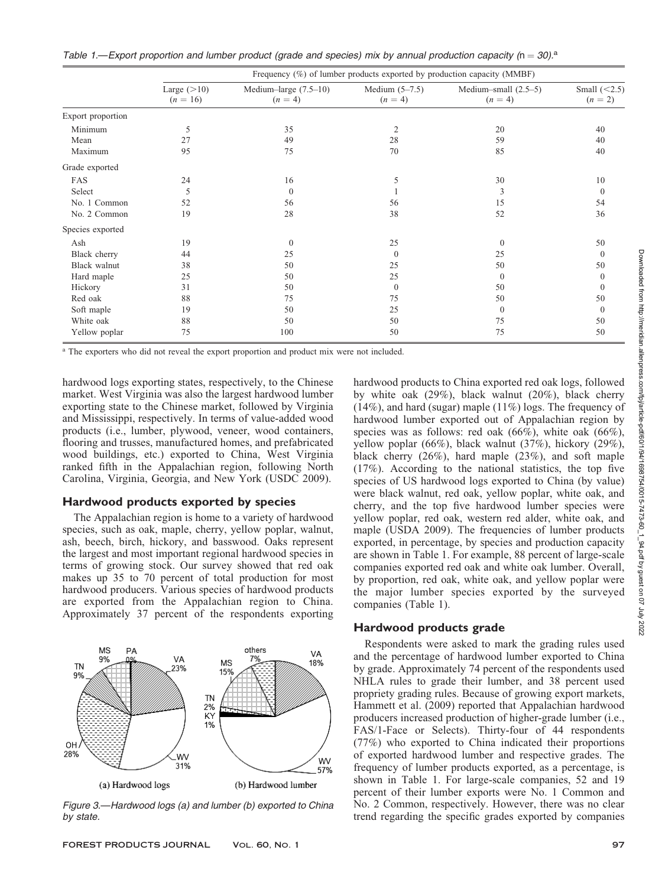Table 1.—Export proportion and lumber product (grade and species) mix by annual production capacity (n = 30).<sup>a</sup>

|                   | Frequency $(\%)$ of lumber products exported by production capacity (MMBF) |                                      |                               |                                     |                             |  |
|-------------------|----------------------------------------------------------------------------|--------------------------------------|-------------------------------|-------------------------------------|-----------------------------|--|
|                   | Large $(>10)$<br>$(n = 16)$                                                | Medium-large $(7.5-10)$<br>$(n = 4)$ | Medium $(5-7.5)$<br>$(n = 4)$ | Medium-small $(2.5-5)$<br>$(n = 4)$ | Small $(<2.5)$<br>$(n = 2)$ |  |
| Export proportion |                                                                            |                                      |                               |                                     |                             |  |
| Minimum           | 5                                                                          | 35                                   | 2                             | 20                                  | 40                          |  |
| Mean              | 27                                                                         | 49                                   | 28                            | 59                                  | 40                          |  |
| Maximum           | 95                                                                         | 75                                   | 70                            | 85                                  | 40                          |  |
| Grade exported    |                                                                            |                                      |                               |                                     |                             |  |
| FAS               | 24                                                                         | 16                                   | 5                             | 30                                  | 10                          |  |
| Select            | 5                                                                          | $\mathbf{0}$                         |                               | 3                                   | $\Omega$                    |  |
| No. 1 Common      | 52                                                                         | 56                                   | 56                            | 15                                  | 54                          |  |
| No. 2 Common      | 19                                                                         | 28                                   | 38                            | 52                                  | 36                          |  |
| Species exported  |                                                                            |                                      |                               |                                     |                             |  |
| Ash               | 19                                                                         | $\mathbf{0}$                         | 25                            | $\Omega$                            | 50                          |  |
| Black cherry      | 44                                                                         | 25                                   | $\Omega$                      | 25                                  | $\Omega$                    |  |
| Black walnut      | 38                                                                         | 50                                   | 25                            | 50                                  | 50                          |  |
| Hard maple        | 25                                                                         | 50                                   | 25                            | $\theta$                            | $\theta$                    |  |
| Hickory           | 31                                                                         | 50                                   | $\mathbf{0}$                  | 50                                  | $\theta$                    |  |
| Red oak           | 88                                                                         | 75                                   | 75                            | 50                                  | 50                          |  |
| Soft maple        | 19                                                                         | 50                                   | 25                            | $\mathbf{0}$                        | $\Omega$                    |  |
| White oak         | 88                                                                         | 50                                   | 50                            | 75                                  | 50                          |  |
| Yellow poplar     | 75                                                                         | 100                                  | 50                            | 75                                  | 50                          |  |

<sup>a</sup> The exporters who did not reveal the export proportion and product mix were not included.

hardwood logs exporting states, respectively, to the Chinese market. West Virginia was also the largest hardwood lumber exporting state to the Chinese market, followed by Virginia and Mississippi, respectively. In terms of value-added wood products (i.e., lumber, plywood, veneer, wood containers, flooring and trusses, manufactured homes, and prefabricated wood buildings, etc.) exported to China, West Virginia ranked fifth in the Appalachian region, following North Carolina, Virginia, Georgia, and New York (USDC 2009).

## Hardwood products exported by species

The Appalachian region is home to a variety of hardwood species, such as oak, maple, cherry, yellow poplar, walnut, ash, beech, birch, hickory, and basswood. Oaks represent the largest and most important regional hardwood species in terms of growing stock. Our survey showed that red oak makes up 35 to 70 percent of total production for most hardwood producers. Various species of hardwood products are exported from the Appalachian region to China. Approximately 37 percent of the respondents exporting



Figure 3.—Hardwood logs (a) and lumber (b) exported to China by state.

hardwood products to China exported red oak logs, followed by white oak (29%), black walnut (20%), black cherry (14%), and hard (sugar) maple (11%) logs. The frequency of hardwood lumber exported out of Appalachian region by species was as follows: red oak (66%), white oak (66%), yellow poplar (66%), black walnut (37%), hickory (29%), black cherry (26%), hard maple (23%), and soft maple (17%). According to the national statistics, the top five species of US hardwood logs exported to China (by value) were black walnut, red oak, yellow poplar, white oak, and cherry, and the top five hardwood lumber species were yellow poplar, red oak, western red alder, white oak, and maple (USDA 2009). The frequencies of lumber products exported, in percentage, by species and production capacity are shown in Table 1. For example, 88 percent of large-scale companies exported red oak and white oak lumber. Overall, by proportion, red oak, white oak, and yellow poplar were the major lumber species exported by the surveyed companies (Table 1).

## Hardwood products grade

Respondents were asked to mark the grading rules used and the percentage of hardwood lumber exported to China by grade. Approximately 74 percent of the respondents used NHLA rules to grade their lumber, and 38 percent used propriety grading rules. Because of growing export markets, Hammett et al. (2009) reported that Appalachian hardwood producers increased production of higher-grade lumber (i.e., FAS/1-Face or Selects). Thirty-four of 44 respondents (77%) who exported to China indicated their proportions of exported hardwood lumber and respective grades. The frequency of lumber products exported, as a percentage, is shown in Table 1. For large-scale companies, 52 and 19 percent of their lumber exports were No. 1 Common and No. 2 Common, respectively. However, there was no clear trend regarding the specific grades exported by companies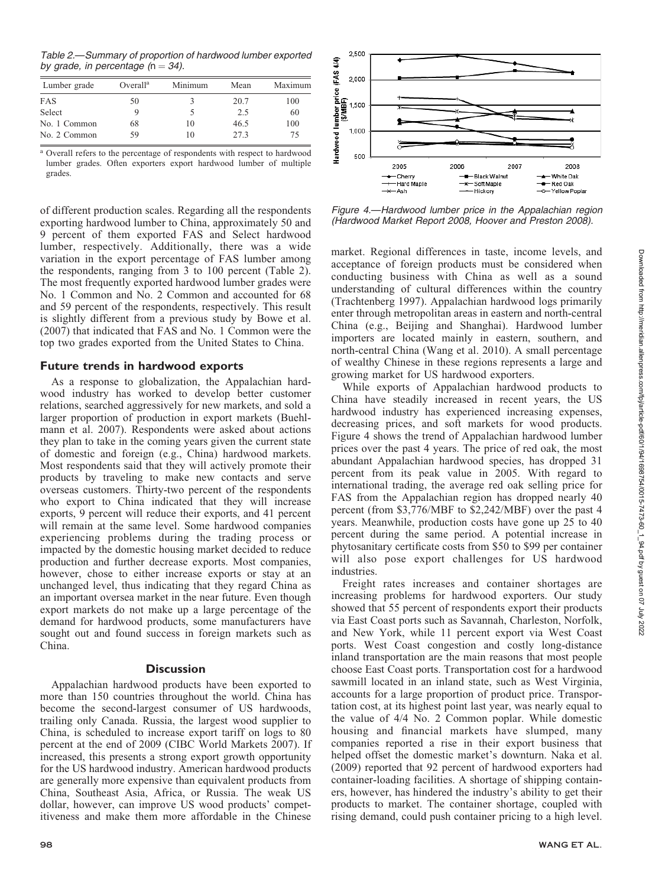Table 2.—Summary of proportion of hardwood lumber exported by grade, in percentage  $(n = 34)$ .

| Lumber grade | Overal <sup>a</sup> | Minimum | Mean | Maximum |
|--------------|---------------------|---------|------|---------|
| FAS          | 50                  |         | 20.7 | 100     |
| Select       | 9                   |         | 2.5  | 60      |
| No. 1 Common | 68                  | 10      | 46.5 | 100     |
| No. 2 Common | 59                  | 10      | 273  | 75      |

<sup>a</sup> Overall refers to the percentage of respondents with respect to hardwood lumber grades. Often exporters export hardwood lumber of multiple grades.

of different production scales. Regarding all the respondents exporting hardwood lumber to China, approximately 50 and 9 percent of them exported FAS and Select hardwood lumber, respectively. Additionally, there was a wide variation in the export percentage of FAS lumber among the respondents, ranging from 3 to 100 percent (Table 2). The most frequently exported hardwood lumber grades were No. 1 Common and No. 2 Common and accounted for 68 and 59 percent of the respondents, respectively. This result is slightly different from a previous study by Bowe et al. (2007) that indicated that FAS and No. 1 Common were the top two grades exported from the United States to China.

# Future trends in hardwood exports

As a response to globalization, the Appalachian hardwood industry has worked to develop better customer relations, searched aggressively for new markets, and sold a larger proportion of production in export markets (Buehlmann et al. 2007). Respondents were asked about actions they plan to take in the coming years given the current state of domestic and foreign (e.g., China) hardwood markets. Most respondents said that they will actively promote their products by traveling to make new contacts and serve overseas customers. Thirty-two percent of the respondents who export to China indicated that they will increase exports, 9 percent will reduce their exports, and 41 percent will remain at the same level. Some hardwood companies experiencing problems during the trading process or impacted by the domestic housing market decided to reduce production and further decrease exports. Most companies, however, chose to either increase exports or stay at an unchanged level, thus indicating that they regard China as an important oversea market in the near future. Even though export markets do not make up a large percentage of the demand for hardwood products, some manufacturers have sought out and found success in foreign markets such as China.

# **Discussion**

Appalachian hardwood products have been exported to more than 150 countries throughout the world. China has become the second-largest consumer of US hardwoods, trailing only Canada. Russia, the largest wood supplier to China, is scheduled to increase export tariff on logs to 80 percent at the end of 2009 (CIBC World Markets 2007). If increased, this presents a strong export growth opportunity for the US hardwood industry. American hardwood products are generally more expensive than equivalent products from China, Southeast Asia, Africa, or Russia. The weak US dollar, however, can improve US wood products' competitiveness and make them more affordable in the Chinese



Figure 4.—Hardwood lumber price in the Appalachian region (Hardwood Market Report 2008, Hoover and Preston 2008).

market. Regional differences in taste, income levels, and acceptance of foreign products must be considered when conducting business with China as well as a sound understanding of cultural differences within the country (Trachtenberg 1997). Appalachian hardwood logs primarily enter through metropolitan areas in eastern and north-central China (e.g., Beijing and Shanghai). Hardwood lumber importers are located mainly in eastern, southern, and north-central China (Wang et al. 2010). A small percentage of wealthy Chinese in these regions represents a large and growing market for US hardwood exporters.

While exports of Appalachian hardwood products to China have steadily increased in recent years, the US hardwood industry has experienced increasing expenses, decreasing prices, and soft markets for wood products. Figure 4 shows the trend of Appalachian hardwood lumber prices over the past 4 years. The price of red oak, the most abundant Appalachian hardwood species, has dropped 31 percent from its peak value in 2005. With regard to international trading, the average red oak selling price for FAS from the Appalachian region has dropped nearly 40 percent (from \$3,776/MBF to \$2,242/MBF) over the past 4 years. Meanwhile, production costs have gone up 25 to 40 percent during the same period. A potential increase in phytosanitary certificate costs from \$50 to \$99 per container will also pose export challenges for US hardwood industries.

Freight rates increases and container shortages are increasing problems for hardwood exporters. Our study showed that 55 percent of respondents export their products via East Coast ports such as Savannah, Charleston, Norfolk, and New York, while 11 percent export via West Coast ports. West Coast congestion and costly long-distance inland transportation are the main reasons that most people choose East Coast ports. Transportation cost for a hardwood sawmill located in an inland state, such as West Virginia, accounts for a large proportion of product price. Transportation cost, at its highest point last year, was nearly equal to the value of 4/4 No. 2 Common poplar. While domestic housing and financial markets have slumped, many companies reported a rise in their export business that helped offset the domestic market's downturn. Naka et al. (2009) reported that 92 percent of hardwood exporters had container-loading facilities. A shortage of shipping containers, however, has hindered the industry's ability to get their products to market. The container shortage, coupled with rising demand, could push container pricing to a high level.